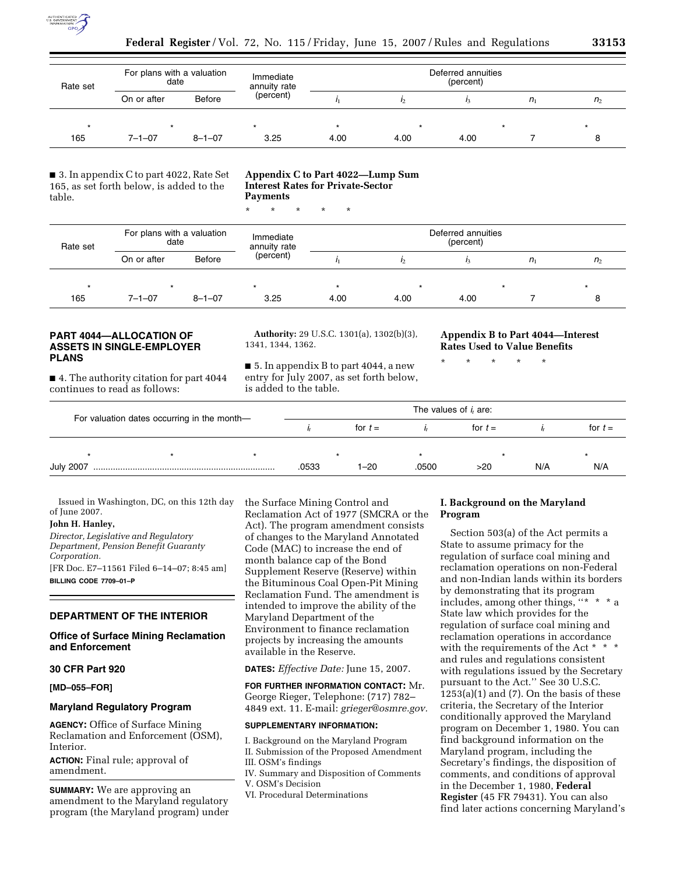

| Rate set | For plans with a valuation<br>date |               | Immediate<br>annuity rate | Deferred annuities<br>(percent) |      |      |         |                |  |
|----------|------------------------------------|---------------|---------------------------|---------------------------------|------|------|---------|----------------|--|
|          | On or after                        | <b>Before</b> | (percent)                 |                                 |      |      | $n_{1}$ | n <sub>2</sub> |  |
|          |                                    |               |                           |                                 |      |      |         |                |  |
| 165      | $7 - 1 - 07$                       | $8 - 1 - 07$  | 3.25                      | 4.00                            | 4.00 | 4.00 |         |                |  |

■ 3. In appendix C to part 4022, Rate Set 165, as set forth below, is added to the table.

### **Appendix C to Part 4022—Lump Sum Interest Rates for Private-Sector Payments**

\* \* \* \* \*

| Rate set | For plans with a valuation<br>date |              | Immediate<br>annuity rate | Deferred annuities<br>(percent) |         |      |         |                |  |
|----------|------------------------------------|--------------|---------------------------|---------------------------------|---------|------|---------|----------------|--|
|          | On or after                        | Before       | (percent)                 |                                 | I2      |      | $n_{1}$ | n <sub>2</sub> |  |
| $\star$  |                                    |              | $\star$                   |                                 | $\star$ |      |         | $\star$        |  |
| 165      | $7 - 1 - 07$                       | $8 - 1 - 07$ | 3.25                      | 4.00                            | 4.00    | 4.00 |         |                |  |

## **PART 4044—ALLOCATION OF ASSETS IN SINGLE-EMPLOYER PLANS**

■ 4. The authority citation for part 4044 continues to read as follows:

**Authority:** 29 U.S.C. 1301(a), 1302(b)(3), 1341, 1344, 1362.

■ 5. In appendix B to part 4044, a new entry for July 2007, as set forth below, is added to the table.

**Appendix B to Part 4044—Interest Rates Used to Value Benefits** 

\* \* \* \* \*

| For valuation dates occurring in the month- |  |  | The values of $i_t$ are: |           |         |           |     |           |  |
|---------------------------------------------|--|--|--------------------------|-----------|---------|-----------|-----|-----------|--|
|                                             |  |  |                          | for $t =$ |         | for $t =$ |     | for $t =$ |  |
|                                             |  |  |                          |           | $\star$ |           |     |           |  |
| <b>July 2007</b>                            |  |  | .0533                    | $1 - 20$  | .0500   | >20       | N/A | N/A       |  |

Issued in Washington, DC, on this 12th day of June 2007.

# **John H. Hanley,**

*Director, Legislative and Regulatory Department, Pension Benefit Guaranty Corporation.* 

[FR Doc. E7–11561 Filed 6–14–07; 8:45 am] **BILLING CODE 7709–01–P** 

## **DEPARTMENT OF THE INTERIOR**

## **Office of Surface Mining Reclamation and Enforcement**

## **30 CFR Part 920**

**[MD–055–FOR]** 

## **Maryland Regulatory Program**

**AGENCY:** Office of Surface Mining Reclamation and Enforcement (OSM), Interior.

**ACTION:** Final rule; approval of amendment.

**SUMMARY:** We are approving an amendment to the Maryland regulatory program (the Maryland program) under the Surface Mining Control and Reclamation Act of 1977 (SMCRA or the Act). The program amendment consists of changes to the Maryland Annotated Code (MAC) to increase the end of month balance cap of the Bond Supplement Reserve (Reserve) within the Bituminous Coal Open-Pit Mining Reclamation Fund. The amendment is intended to improve the ability of the Maryland Department of the Environment to finance reclamation projects by increasing the amounts available in the Reserve.

**DATES:** *Effective Date:* June 15, 2007.

**FOR FURTHER INFORMATION CONTACT:** Mr. George Rieger, Telephone: (717) 782– 4849 ext. 11. E-mail: *grieger@osmre.gov.* 

#### **SUPPLEMENTARY INFORMATION:**

I. Background on the Maryland Program II. Submission of the Proposed Amendment

III. OSM's findings

IV. Summary and Disposition of Comments V. OSM's Decision

## **I. Background on the Maryland Program**

Section 503(a) of the Act permits a State to assume primacy for the regulation of surface coal mining and reclamation operations on non-Federal and non-Indian lands within its borders by demonstrating that its program includes, among other things, "\* \* \* a State law which provides for the regulation of surface coal mining and reclamation operations in accordance with the requirements of the Act \* \* \* and rules and regulations consistent with regulations issued by the Secretary pursuant to the Act.'' See 30 U.S.C.  $1253(a)(1)$  and  $(7)$ . On the basis of these criteria, the Secretary of the Interior conditionally approved the Maryland program on December 1, 1980. You can find background information on the Maryland program, including the Secretary's findings, the disposition of comments, and conditions of approval in the December 1, 1980, **Federal Register** (45 FR 79431). You can also find later actions concerning Maryland's

VI. Procedural Determinations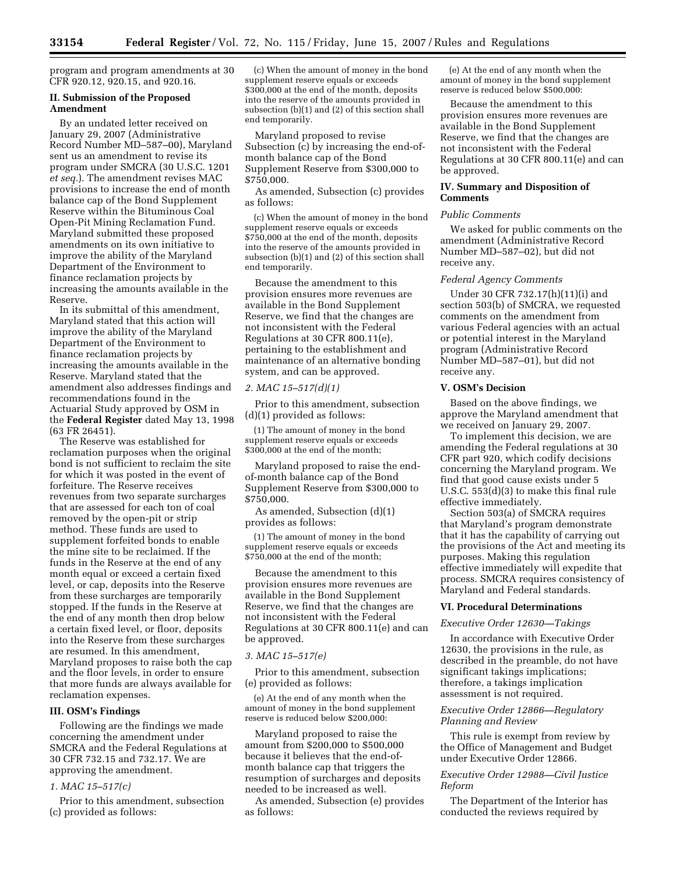program and program amendments at 30 CFR 920.12, 920.15, and 920.16.

#### **II. Submission of the Proposed Amendment**

By an undated letter received on January 29, 2007 (Administrative Record Number MD–587–00), Maryland sent us an amendment to revise its program under SMCRA (30 U.S.C. 1201 *et seq.*). The amendment revises MAC provisions to increase the end of month balance cap of the Bond Supplement Reserve within the Bituminous Coal Open-Pit Mining Reclamation Fund. Maryland submitted these proposed amendments on its own initiative to improve the ability of the Maryland Department of the Environment to finance reclamation projects by increasing the amounts available in the Reserve.

In its submittal of this amendment, Maryland stated that this action will improve the ability of the Maryland Department of the Environment to finance reclamation projects by increasing the amounts available in the Reserve. Maryland stated that the amendment also addresses findings and recommendations found in the Actuarial Study approved by OSM in the **Federal Register** dated May 13, 1998 (63 FR 26451).

The Reserve was established for reclamation purposes when the original bond is not sufficient to reclaim the site for which it was posted in the event of forfeiture. The Reserve receives revenues from two separate surcharges that are assessed for each ton of coal removed by the open-pit or strip method. These funds are used to supplement forfeited bonds to enable the mine site to be reclaimed. If the funds in the Reserve at the end of any month equal or exceed a certain fixed level, or cap, deposits into the Reserve from these surcharges are temporarily stopped. If the funds in the Reserve at the end of any month then drop below a certain fixed level, or floor, deposits into the Reserve from these surcharges are resumed. In this amendment, Maryland proposes to raise both the cap and the floor levels, in order to ensure that more funds are always available for reclamation expenses.

### **III. OSM's Findings**

Following are the findings we made concerning the amendment under SMCRA and the Federal Regulations at 30 CFR 732.15 and 732.17. We are approving the amendment.

#### *1. MAC 15–517(c)*

Prior to this amendment, subsection (c) provided as follows:

(c) When the amount of money in the bond supplement reserve equals or exceeds \$300,000 at the end of the month, deposits into the reserve of the amounts provided in subsection (b)(1) and (2) of this section shall end temporarily.

Maryland proposed to revise Subsection (c) by increasing the end-ofmonth balance cap of the Bond Supplement Reserve from \$300,000 to \$750,000.

As amended, Subsection (c) provides as follows:

(c) When the amount of money in the bond supplement reserve equals or exceeds \$750,000 at the end of the month, deposits into the reserve of the amounts provided in subsection (b)(1) and (2) of this section shall end temporarily.

Because the amendment to this provision ensures more revenues are available in the Bond Supplement Reserve, we find that the changes are not inconsistent with the Federal Regulations at 30 CFR 800.11(e), pertaining to the establishment and maintenance of an alternative bonding system, and can be approved.

### *2. MAC 15–517(d)(1)*

Prior to this amendment, subsection (d)(1) provided as follows:

(1) The amount of money in the bond supplement reserve equals or exceeds \$300,000 at the end of the month;

Maryland proposed to raise the endof-month balance cap of the Bond Supplement Reserve from \$300,000 to \$750,000.

As amended, Subsection (d)(1) provides as follows:

(1) The amount of money in the bond supplement reserve equals or exceeds \$750,000 at the end of the month;

Because the amendment to this provision ensures more revenues are available in the Bond Supplement Reserve, we find that the changes are not inconsistent with the Federal Regulations at 30 CFR 800.11(e) and can be approved.

### *3. MAC 15–517(e)*

Prior to this amendment, subsection (e) provided as follows:

(e) At the end of any month when the amount of money in the bond supplement reserve is reduced below \$200,000:

Maryland proposed to raise the amount from \$200,000 to \$500,000 because it believes that the end-ofmonth balance cap that triggers the resumption of surcharges and deposits needed to be increased as well.

As amended, Subsection (e) provides as follows:

(e) At the end of any month when the amount of money in the bond supplement reserve is reduced below \$500,000:

Because the amendment to this provision ensures more revenues are available in the Bond Supplement Reserve, we find that the changes are not inconsistent with the Federal Regulations at 30 CFR 800.11(e) and can be approved.

## **IV. Summary and Disposition of Comments**

## *Public Comments*

We asked for public comments on the amendment (Administrative Record Number MD–587–02), but did not receive any.

### *Federal Agency Comments*

Under 30 CFR 732.17(h)(11)(i) and section 503(b) of SMCRA, we requested comments on the amendment from various Federal agencies with an actual or potential interest in the Maryland program (Administrative Record Number MD–587–01), but did not receive any.

### **V. OSM's Decision**

Based on the above findings, we approve the Maryland amendment that we received on January 29, 2007.

To implement this decision, we are amending the Federal regulations at 30 CFR part 920, which codify decisions concerning the Maryland program. We find that good cause exists under 5 U.S.C. 553(d)(3) to make this final rule effective immediately.

Section 503(a) of SMCRA requires that Maryland's program demonstrate that it has the capability of carrying out the provisions of the Act and meeting its purposes. Making this regulation effective immediately will expedite that process. SMCRA requires consistency of Maryland and Federal standards.

## **VI. Procedural Determinations**

### *Executive Order 12630—Takings*

In accordance with Executive Order 12630, the provisions in the rule, as described in the preamble, do not have significant takings implications; therefore, a takings implication assessment is not required.

### *Executive Order 12866—Regulatory Planning and Review*

This rule is exempt from review by the Office of Management and Budget under Executive Order 12866.

## *Executive Order 12988—Civil Justice Reform*

The Department of the Interior has conducted the reviews required by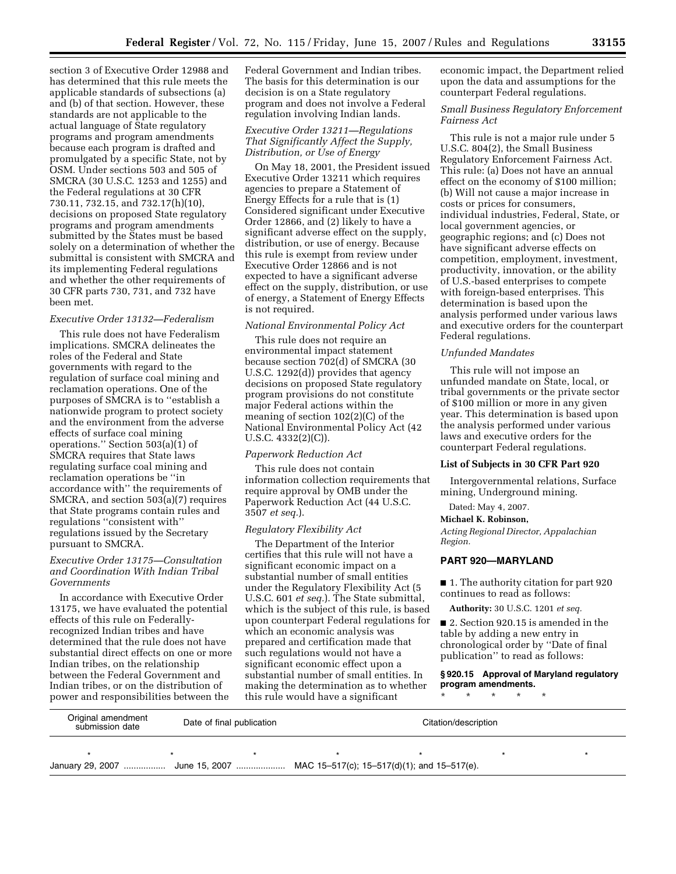section 3 of Executive Order 12988 and has determined that this rule meets the applicable standards of subsections (a) and (b) of that section. However, these standards are not applicable to the actual language of State regulatory programs and program amendments because each program is drafted and promulgated by a specific State, not by OSM. Under sections 503 and 505 of SMCRA (30 U.S.C. 1253 and 1255) and the Federal regulations at 30 CFR 730.11, 732.15, and 732.17(h)(10), decisions on proposed State regulatory programs and program amendments submitted by the States must be based solely on a determination of whether the submittal is consistent with SMCRA and its implementing Federal regulations and whether the other requirements of 30 CFR parts 730, 731, and 732 have been met.

## *Executive Order 13132—Federalism*

This rule does not have Federalism implications. SMCRA delineates the roles of the Federal and State governments with regard to the regulation of surface coal mining and reclamation operations. One of the purposes of SMCRA is to ''establish a nationwide program to protect society and the environment from the adverse effects of surface coal mining operations.'' Section 503(a)(1) of SMCRA requires that State laws regulating surface coal mining and reclamation operations be ''in accordance with'' the requirements of SMCRA, and section 503(a)(7) requires that State programs contain rules and regulations ''consistent with'' regulations issued by the Secretary pursuant to SMCRA.

### *Executive Order 13175—Consultation and Coordination With Indian Tribal Governments*

In accordance with Executive Order 13175, we have evaluated the potential effects of this rule on Federallyrecognized Indian tribes and have determined that the rule does not have substantial direct effects on one or more Indian tribes, on the relationship between the Federal Government and Indian tribes, or on the distribution of power and responsibilities between the

Federal Government and Indian tribes. The basis for this determination is our decision is on a State regulatory program and does not involve a Federal regulation involving Indian lands.

### *Executive Order 13211—Regulations That Significantly Affect the Supply, Distribution, or Use of Energy*

On May 18, 2001, the President issued Executive Order 13211 which requires agencies to prepare a Statement of Energy Effects for a rule that is (1) Considered significant under Executive Order 12866, and (2) likely to have a significant adverse effect on the supply, distribution, or use of energy. Because this rule is exempt from review under Executive Order 12866 and is not expected to have a significant adverse effect on the supply, distribution, or use of energy, a Statement of Energy Effects is not required.

### *National Environmental Policy Act*

This rule does not require an environmental impact statement because section 702(d) of SMCRA (30 U.S.C. 1292(d)) provides that agency decisions on proposed State regulatory program provisions do not constitute major Federal actions within the meaning of section 102(2)(C) of the National Environmental Policy Act (42 U.S.C. 4332(2)(C)).

#### *Paperwork Reduction Act*

This rule does not contain information collection requirements that require approval by OMB under the Paperwork Reduction Act (44 U.S.C. 3507 *et seq.*).

### *Regulatory Flexibility Act*

The Department of the Interior certifies that this rule will not have a significant economic impact on a substantial number of small entities under the Regulatory Flexibility Act (5 U.S.C. 601 *et seq.*). The State submittal, which is the subject of this rule, is based upon counterpart Federal regulations for which an economic analysis was prepared and certification made that such regulations would not have a significant economic effect upon a substantial number of small entities. In making the determination as to whether this rule would have a significant

economic impact, the Department relied upon the data and assumptions for the counterpart Federal regulations.

### *Small Business Regulatory Enforcement Fairness Act*

This rule is not a major rule under 5 U.S.C. 804(2), the Small Business Regulatory Enforcement Fairness Act. This rule: (a) Does not have an annual effect on the economy of \$100 million; (b) Will not cause a major increase in costs or prices for consumers, individual industries, Federal, State, or local government agencies, or geographic regions; and (c) Does not have significant adverse effects on competition, employment, investment, productivity, innovation, or the ability of U.S.-based enterprises to compete with foreign-based enterprises. This determination is based upon the analysis performed under various laws and executive orders for the counterpart Federal regulations.

#### *Unfunded Mandates*

This rule will not impose an unfunded mandate on State, local, or tribal governments or the private sector of \$100 million or more in any given year. This determination is based upon the analysis performed under various laws and executive orders for the counterpart Federal regulations.

#### **List of Subjects in 30 CFR Part 920**

Intergovernmental relations, Surface mining, Underground mining.

### Dated: May 4, 2007.

### **Michael K. Robinson,**

*Acting Regional Director, Appalachian Region.* 

## **PART 920—MARYLAND**

■ 1. The authority citation for part 920 continues to read as follows:

**Authority:** 30 U.S.C. 1201 *et seq.* 

■ 2. Section 920.15 is amended in the table by adding a new entry in chronological order by ''Date of final publication'' to read as follows:

**§ 920.15 Approval of Maryland regulatory program amendments.** 

\* \* \* \* \*

| Original amendment<br>submission date                                        | Date of final publication | Citation/description |  |  |  |  |
|------------------------------------------------------------------------------|---------------------------|----------------------|--|--|--|--|
|                                                                              |                           |                      |  |  |  |  |
| January 29, 2007  June 15, 2007  MAC 15-517(c); 15-517(d)(1); and 15-517(e). |                           |                      |  |  |  |  |